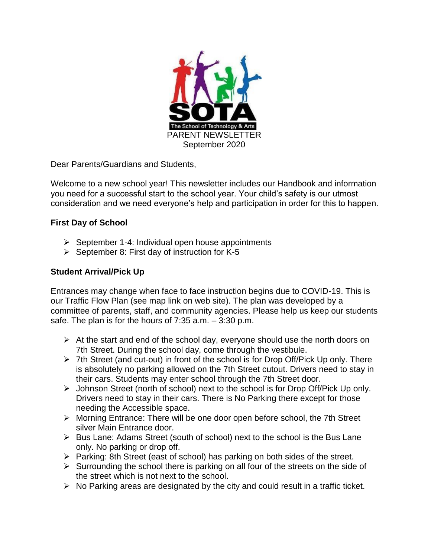

Dear Parents/Guardians and Students,

Welcome to a new school year! This newsletter includes our Handbook and information you need for a successful start to the school year. Your child's safety is our utmost consideration and we need everyone's help and participation in order for this to happen.

# **First Day of School**

- $\triangleright$  September 1-4: Individual open house appointments
- $\triangleright$  September 8: First day of instruction for K-5

# **Student Arrival/Pick Up**

Entrances may change when face to face instruction begins due to COVID-19. This is our Traffic Flow Plan (see map link on web site). The plan was developed by a committee of parents, staff, and community agencies. Please help us keep our students safe. The plan is for the hours of 7:35 a.m. – 3:30 p.m.

- $\triangleright$  At the start and end of the school day, everyone should use the north doors on 7th Street. During the school day, come through the vestibule.
- $\triangleright$  7th Street (and cut-out) in front of the school is for Drop Off/Pick Up only. There is absolutely no parking allowed on the 7th Street cutout. Drivers need to stay in their cars. Students may enter school through the 7th Street door.
- Johnson Street (north of school) next to the school is for Drop Off/Pick Up only. Drivers need to stay in their cars. There is No Parking there except for those needing the Accessible space.
- Morning Entrance: There will be one door open before school, the 7th Street silver Main Entrance door.
- $\triangleright$  Bus Lane: Adams Street (south of school) next to the school is the Bus Lane only. No parking or drop off.
- $\triangleright$  Parking: 8th Street (east of school) has parking on both sides of the street.
- $\triangleright$  Surrounding the school there is parking on all four of the streets on the side of the street which is not next to the school.
- $\triangleright$  No Parking areas are designated by the city and could result in a traffic ticket.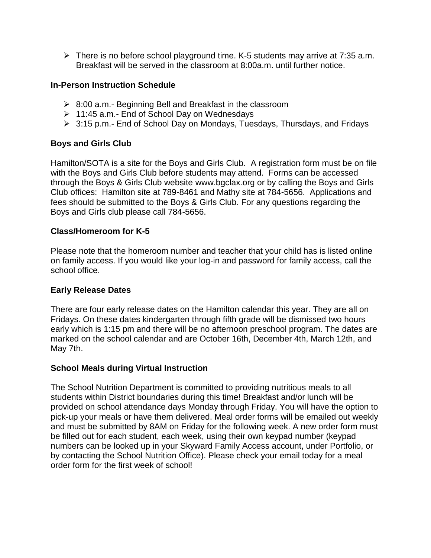$\triangleright$  There is no before school playground time. K-5 students may arrive at 7:35 a.m. Breakfast will be served in the classroom at 8:00a.m. until further notice.

# **In-Person Instruction Schedule**

- $\geq$  8:00 a.m.- Beginning Bell and Breakfast in the classroom
- $\geq 11:45$  a.m.- End of School Day on Wednesdays
- 3:15 p.m.- End of School Day on Mondays, Tuesdays, Thursdays, and Fridays

# **Boys and Girls Club**

Hamilton/SOTA is a site for the Boys and Girls Club. A registration form must be on file with the Boys and Girls Club before students may attend. Forms can be accessed through the Boys & Girls Club website [www.bgclax.org](http://www.bgclax.org/) or by calling the Boys and Girls Club offices: Hamilton site at 789-8461 and Mathy site at 784-5656. Applications and fees should be submitted to the Boys & Girls Club. For any questions regarding the Boys and Girls club please call 784-5656.

# **Class/Homeroom for K-5**

Please note that the homeroom number and teacher that your child has is listed online on family access. If you would like your log-in and password for family access, call the school office.

# **Early Release Dates**

There are four early release dates on the Hamilton calendar this year. They are all on Fridays. On these dates kindergarten through fifth grade will be dismissed two hours early which is 1:15 pm and there will be no afternoon preschool program. The dates are marked on the school calendar and are October 16th, December 4th, March 12th, and May 7th.

# **School Meals during Virtual Instruction**

The School Nutrition Department is committed to providing nutritious meals to all students within District boundaries during this time! Breakfast and/or lunch will be provided on school attendance days Monday through Friday. You will have the option to pick-up your meals or have them delivered. Meal order forms will be emailed out weekly and must be submitted by 8AM on Friday for the following week. A new order form must be filled out for each student, each week, using their own keypad number (keypad numbers can be looked up in your Skyward Family Access account, under Portfolio, or by contacting the School Nutrition Office). Please check your email today for a meal order form for the first week of school!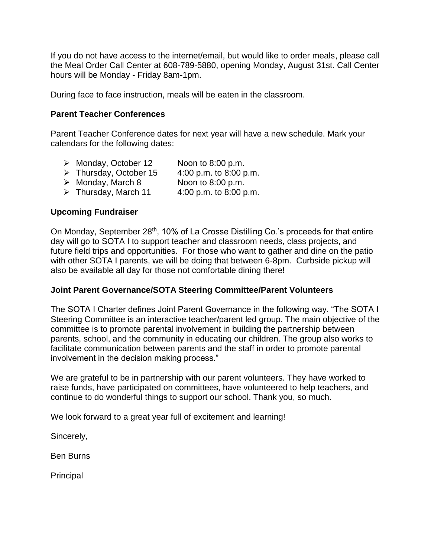If you do not have access to the internet/email, but would like to order meals, please call the Meal Order Call Center at 608-789-5880, opening Monday, August 31st. Call Center hours will be Monday - Friday 8am-1pm.

During face to face instruction, meals will be eaten in the classroom.

# **Parent Teacher Conferences**

Parent Teacher Conference dates for next year will have a new schedule. Mark your calendars for the following dates:

- Monday, October 12 Noon to 8:00 p.m.  $\triangleright$  Thursday, October 15 4:00 p.m. to 8:00 p.m.  $\triangleright$  Monday, March 8 Noon to 8:00 p.m.
- $\triangleright$  Thursday, March 11 4:00 p.m. to 8:00 p.m.

### **Upcoming Fundraiser**

On Monday, September 28<sup>th</sup>, 10% of La Crosse Distilling Co.'s proceeds for that entire day will go to SOTA I to support teacher and classroom needs, class projects, and future field trips and opportunities. For those who want to gather and dine on the patio with other SOTA I parents, we will be doing that between 6-8pm. Curbside pickup will also be available all day for those not comfortable dining there!

# **Joint Parent Governance/SOTA Steering Committee/Parent Volunteers**

The SOTA I Charter defines Joint Parent Governance in the following way. "The SOTA I Steering Committee is an interactive teacher/parent led group. The main objective of the committee is to promote parental involvement in building the partnership between parents, school, and the community in educating our children. The group also works to facilitate communication between parents and the staff in order to promote parental involvement in the decision making process."

We are grateful to be in partnership with our parent volunteers. They have worked to raise funds, have participated on committees, have volunteered to help teachers, and continue to do wonderful things to support our school. Thank you, so much.

We look forward to a great year full of excitement and learning!

Sincerely,

Ben Burns

Principal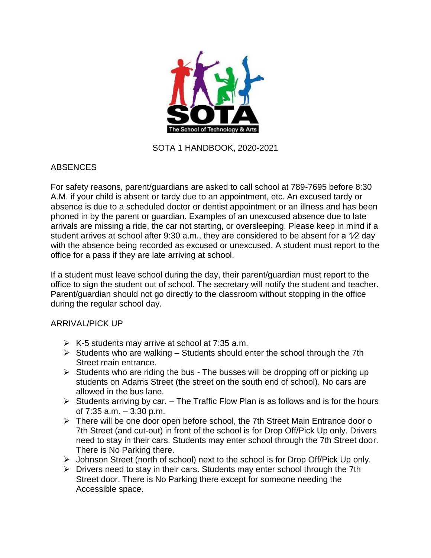

# SOTA 1 HANDBOOK, 2020-2021

# **ABSENCES**

For safety reasons, parent/guardians are asked to call school at 789-7695 before 8:30 A.M. if your child is absent or tardy due to an appointment, etc. An excused tardy or absence is due to a scheduled doctor or dentist appointment or an illness and has been phoned in by the parent or guardian. Examples of an unexcused absence due to late arrivals are missing a ride, the car not starting, or oversleeping. Please keep in mind if a student arrives at school after 9:30 a.m., they are considered to be absent for a 1/2 day with the absence being recorded as excused or unexcused. A student must report to the office for a pass if they are late arriving at school.

If a student must leave school during the day, their parent/guardian must report to the office to sign the student out of school. The secretary will notify the student and teacher. Parent/guardian should not go directly to the classroom without stopping in the office during the regular school day.

# ARRIVAL/PICK UP

- $\triangleright$  K-5 students may arrive at school at 7:35 a.m.
- $\triangleright$  Students who are walking Students should enter the school through the 7th Street main entrance.
- $\triangleright$  Students who are riding the bus The busses will be dropping off or picking up students on Adams Street (the street on the south end of school). No cars are allowed in the bus lane.
- $\triangleright$  Students arriving by car. The Traffic Flow Plan is as follows and is for the hours of 7:35 a.m. – 3:30 p.m.
- $\triangleright$  There will be one door open before school, the 7th Street Main Entrance door o 7th Street (and cut-out) in front of the school is for Drop Off/Pick Up only. Drivers need to stay in their cars. Students may enter school through the 7th Street door. There is No Parking there.
- Johnson Street (north of school) next to the school is for Drop Off/Pick Up only.
- $\triangleright$  Drivers need to stay in their cars. Students may enter school through the 7th Street door. There is No Parking there except for someone needing the Accessible space.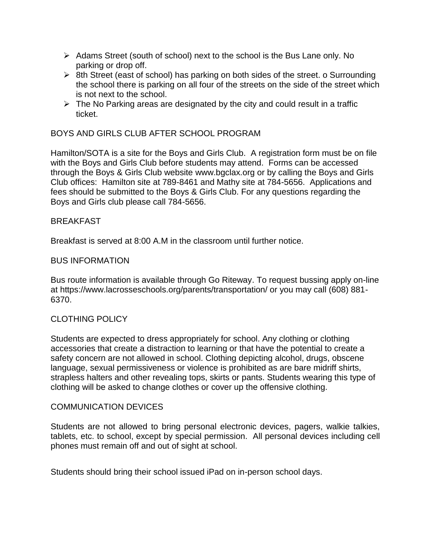- $\triangleright$  Adams Street (south of school) next to the school is the Bus Lane only. No parking or drop off.
- $\triangleright$  8th Street (east of school) has parking on both sides of the street. o Surrounding the school there is parking on all four of the streets on the side of the street which is not next to the school.
- $\triangleright$  The No Parking areas are designated by the city and could result in a traffic ticket.

# BOYS AND GIRLS CLUB AFTER SCHOOL PROGRAM

Hamilton/SOTA is a site for the Boys and Girls Club. A registration form must be on file with the Boys and Girls Club before students may attend. Forms can be accessed through the Boys & Girls Club website [www.bgclax.org](http://www.bgclax.org/) or by calling the Boys and Girls Club offices: Hamilton site at 789-8461 and Mathy site at 784-5656. Applications and fees should be submitted to the Boys & Girls Club. For any questions regarding the Boys and Girls club please call 784-5656.

# **BREAKFAST**

Breakfast is served at 8:00 A.M in the classroom until further notice.

### BUS INFORMATION

Bus route information is available through Go Riteway. To request bussing apply on-line at https://www.lacrosseschools.org/parents/transportation/ or you may call (608) 881- 6370.

# CLOTHING POLICY

Students are expected to dress appropriately for school. Any clothing or clothing accessories that create a distraction to learning or that have the potential to create a safety concern are not allowed in school. Clothing depicting alcohol, drugs, obscene language, sexual permissiveness or violence is prohibited as are bare midriff shirts, strapless halters and other revealing tops, skirts or pants. Students wearing this type of clothing will be asked to change clothes or cover up the offensive clothing.

### COMMUNICATION DEVICES

Students are not allowed to bring personal electronic devices, pagers, walkie talkies, tablets, etc. to school, except by special permission. All personal devices including cell phones must remain off and out of sight at school.

Students should bring their school issued iPad on in-person school days.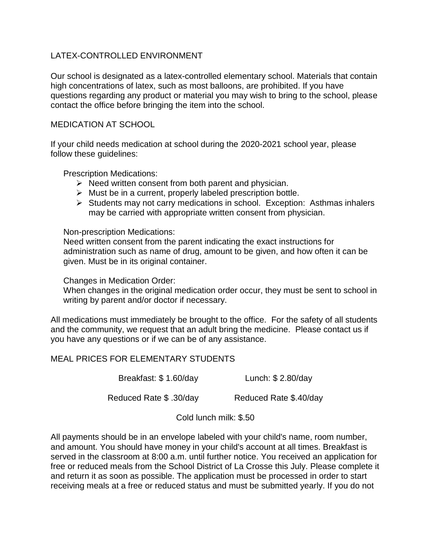# LATEX-CONTROLLED ENVIRONMENT

Our school is designated as a latex-controlled elementary school. Materials that contain high concentrations of latex, such as most balloons, are prohibited. If you have questions regarding any product or material you may wish to bring to the school, please contact the office before bringing the item into the school.

# MEDICATION AT SCHOOL

If your child needs medication at school during the 2020-2021 school year, please follow these guidelines:

Prescription Medications:

- $\triangleright$  Need written consent from both parent and physician.
- $\triangleright$  Must be in a current, properly labeled prescription bottle.
- $\triangleright$  Students may not carry medications in school. Exception: Asthmas inhalers may be carried with appropriate written consent from physician.

### Non-prescription Medications:

Need written consent from the parent indicating the exact instructions for administration such as name of drug, amount to be given, and how often it can be given. Must be in its original container.

Changes in Medication Order:

When changes in the original medication order occur, they must be sent to school in writing by parent and/or doctor if necessary.

All medications must immediately be brought to the office. For the safety of all students and the community, we request that an adult bring the medicine. Please contact us if you have any questions or if we can be of any assistance.

# MEAL PRICES FOR ELEMENTARY STUDENTS

Breakfast: \$ 1.60/day Lunch: \$ 2.80/day

Reduced Rate \$.30/day Reduced Rate \$.40/day

Cold lunch milk: \$.50

All payments should be in an envelope labeled with your child's name, room number, and amount. You should have money in your child's account at all times. Breakfast is served in the classroom at 8:00 a.m. until further notice. You received an application for free or reduced meals from the School District of La Crosse this July. Please complete it and return it as soon as possible. The application must be processed in order to start receiving meals at a free or reduced status and must be submitted yearly. If you do not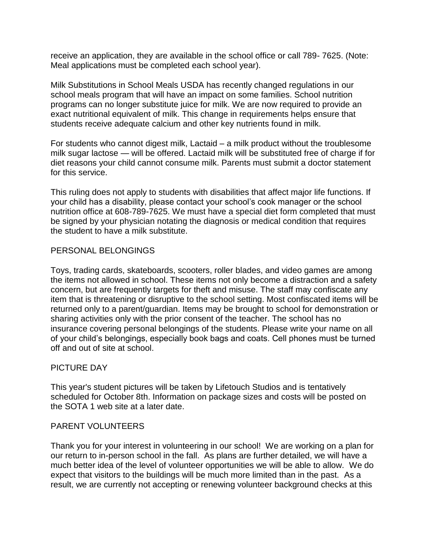receive an application, they are available in the school office or call 789- 7625. (Note: Meal applications must be completed each school year).

Milk Substitutions in School Meals USDA has recently changed regulations in our school meals program that will have an impact on some families. School nutrition programs can no longer substitute juice for milk. We are now required to provide an exact nutritional equivalent of milk. This change in requirements helps ensure that students receive adequate calcium and other key nutrients found in milk.

For students who cannot digest milk, Lactaid – a milk product without the troublesome milk sugar lactose — will be offered. Lactaid milk will be substituted free of charge if for diet reasons your child cannot consume milk. Parents must submit a doctor statement for this service.

This ruling does not apply to students with disabilities that affect major life functions. If your child has a disability, please contact your school's cook manager or the school nutrition office at 608-789-7625. We must have a special diet form completed that must be signed by your physician notating the diagnosis or medical condition that requires the student to have a milk substitute.

### PERSONAL BELONGINGS

Toys, trading cards, skateboards, scooters, roller blades, and video games are among the items not allowed in school. These items not only become a distraction and a safety concern, but are frequently targets for theft and misuse. The staff may confiscate any item that is threatening or disruptive to the school setting. Most confiscated items will be returned only to a parent/guardian. Items may be brought to school for demonstration or sharing activities only with the prior consent of the teacher. The school has no insurance covering personal belongings of the students. Please write your name on all of your child's belongings, especially book bags and coats. Cell phones must be turned off and out of site at school.

# PICTURE DAY

This year's student pictures will be taken by Lifetouch Studios and is tentatively scheduled for October 8th. Information on package sizes and costs will be posted on the SOTA 1 web site at a later date.

### PARENT VOLUNTEERS

Thank you for your interest in volunteering in our school! We are working on a plan for our return to in-person school in the fall. As plans are further detailed, we will have a much better idea of the level of volunteer opportunities we will be able to allow. We do expect that visitors to the buildings will be much more limited than in the past. As a result, we are currently not accepting or renewing volunteer background checks at this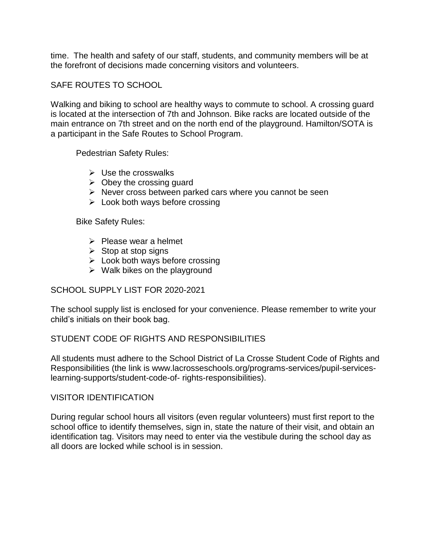time. The health and safety of our staff, students, and community members will be at the forefront of decisions made concerning visitors and volunteers.

SAFE ROUTES TO SCHOOL

Walking and biking to school are healthy ways to commute to school. A crossing guard is located at the intersection of 7th and Johnson. Bike racks are located outside of the main entrance on 7th street and on the north end of the playground. Hamilton/SOTA is a participant in the Safe Routes to School Program.

Pedestrian Safety Rules:

- $\triangleright$  Use the crosswalks
- $\triangleright$  Obey the crossing quard
- $\triangleright$  Never cross between parked cars where you cannot be seen
- $\triangleright$  Look both ways before crossing

Bike Safety Rules:

- $\triangleright$  Please wear a helmet
- $\triangleright$  Stop at stop signs
- $\triangleright$  Look both ways before crossing
- $\triangleright$  Walk bikes on the playground

# SCHOOL SUPPLY LIST FOR 2020-2021

The school supply list is enclosed for your convenience. Please remember to write your child's initials on their book bag.

# STUDENT CODE OF RIGHTS AND RESPONSIBILITIES

All students must adhere to the School District of La Crosse Student Code of Rights and Responsibilities (the link is www.lacrosseschools.org/programs-services/pupil-serviceslearning-supports/student-code-of- rights-responsibilities).

# VISITOR IDENTIFICATION

During regular school hours all visitors (even regular volunteers) must first report to the school office to identify themselves, sign in, state the nature of their visit, and obtain an identification tag. Visitors may need to enter via the vestibule during the school day as all doors are locked while school is in session.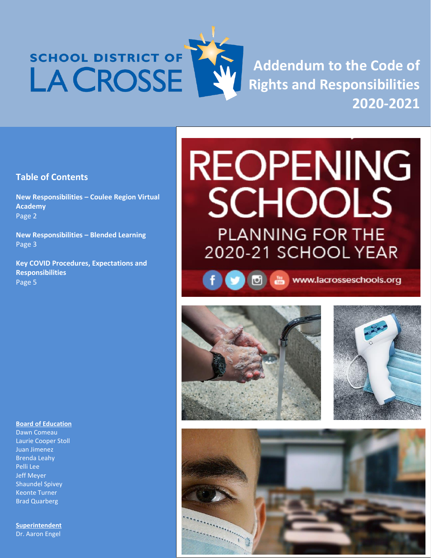# SCHOOL DISTRICT OF LA CROSSE



**Addendum to the Code of Rights and Responsibilities 2020-2021**

# **Table of Contents**

**New Responsibilities – Coulee Region Virtual Academy** Page 2

**New Responsibilities – Blended Learning** Page 3

**Key COVID Procedures, Expectations and Responsibilities** Page 5

# **REOPENING SCHOOLS PLANNING FOR THE** 2020-21 SCHOOL YEAR

f → 5 mww.lacrosseschools.org







#### **Board of Education**

Dawn Comeau Laurie Cooper Stoll Juan Jimenez Brenda Leahy Pelli Lee Jeff Meyer Shaundel Spivey Keonte Turner Brad Quarberg

**Superintendent**  Dr. Aaron Engel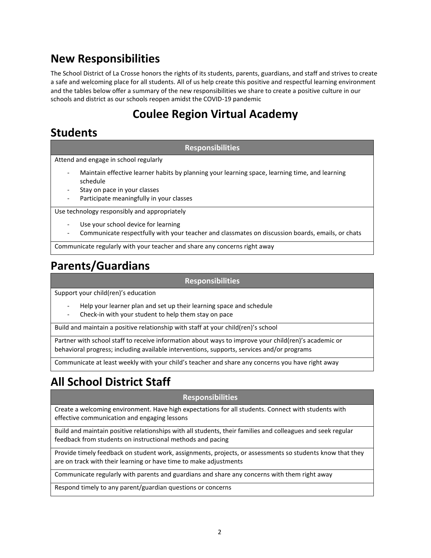# **New Responsibilities**

The School District of La Crosse honors the rights of its students, parents, guardians, and staff and strives to create a safe and welcoming place for all students. All of us help create this positive and respectful learning environment and the tables below offer a summary of the new responsibilities we share to create a positive culture in our schools and district as our schools reopen amidst the COVID-19 pandemic

# **Coulee Region Virtual Academy**

# **Students**

**Responsibilities**

Attend and engage in school regularly

- Maintain effective learner habits by planning your learning space, learning time, and learning schedule
- Stay on pace in your classes
- Participate meaningfully in your classes

Use technology responsibly and appropriately

- Use your school device for learning
- Communicate respectfully with your teacher and classmates on discussion boards, emails, or chats

Communicate regularly with your teacher and share any concerns right away

# **Parents/Guardians**

### **Responsibilities**

Support your child(ren)'s education

- Help your learner plan and set up their learning space and schedule
- Check-in with your student to help them stay on pace

Build and maintain a positive relationship with staff at your child(ren)'s school

Partner with school staff to receive information about ways to improve your child(ren)'s academic or behavioral progress; including available interventions, supports, services and/or programs

Communicate at least weekly with your child's teacher and share any concerns you have right away

# **All School District Staff**

### **Responsibilities**

Create a welcoming environment. Have high expectations for all students. Connect with students with effective communication and engaging lessons

Build and maintain positive relationships with all students, their families and colleagues and seek regular feedback from students on instructional methods and pacing

Provide timely feedback on student work, assignments, projects, or assessments so students know that they are on track with their learning or have time to make adjustments

Communicate regularly with parents and guardians and share any concerns with them right away

Respond timely to any parent/guardian questions or concerns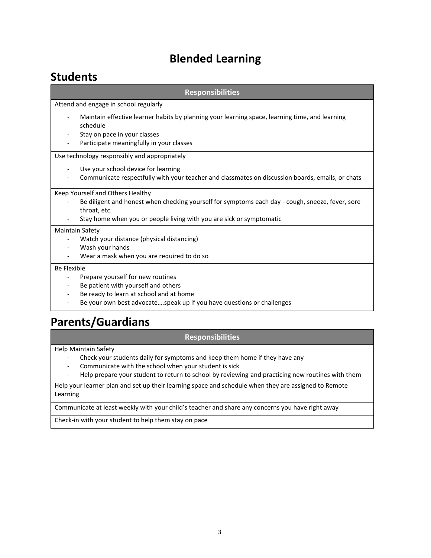# **Blended Learning**

# **Students**

| <b>Responsibilities</b>                                                                                                                                                                                                      |  |
|------------------------------------------------------------------------------------------------------------------------------------------------------------------------------------------------------------------------------|--|
| Attend and engage in school regularly                                                                                                                                                                                        |  |
| Maintain effective learner habits by planning your learning space, learning time, and learning<br>schedule<br>Stay on pace in your classes<br>Participate meaningfully in your classes                                       |  |
| Use technology responsibly and appropriately                                                                                                                                                                                 |  |
| Use your school device for learning<br>Communicate respectfully with your teacher and classmates on discussion boards, emails, or chats                                                                                      |  |
| Keep Yourself and Others Healthy<br>Be diligent and honest when checking yourself for symptoms each day - cough, sneeze, fever, sore<br>throat, etc.<br>Stay home when you or people living with you are sick or symptomatic |  |
| Maintain Safety<br>Watch your distance (physical distancing)<br>Wash your hands<br>Wear a mask when you are required to do so                                                                                                |  |
| <b>Be Flexible</b><br>Prepare yourself for new routines<br>Be patient with yourself and others<br>Be ready to learn at school and at home<br>Be your own best advocatespeak up if you have questions or challenges           |  |

# **Parents/Guardians**

### **Responsibilities**

Help Maintain Safety

- Check your students daily for symptoms and keep them home if they have any
- Communicate with the school when your student is sick
- Help prepare your student to return to school by reviewing and practicing new routines with them

Help your learner plan and set up their learning space and schedule when they are assigned to Remote Learning

Communicate at least weekly with your child's teacher and share any concerns you have right away

Check-in with your student to help them stay on pace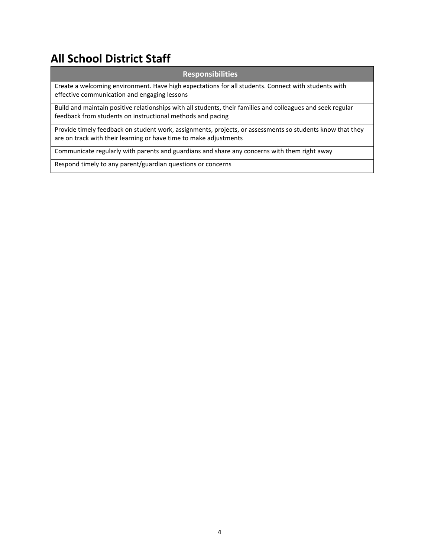# **All School District Staff**

### **Responsibilities**

Create a welcoming environment. Have high expectations for all students. Connect with students with effective communication and engaging lessons

Build and maintain positive relationships with all students, their families and colleagues and seek regular feedback from students on instructional methods and pacing

Provide timely feedback on student work, assignments, projects, or assessments so students know that they are on track with their learning or have time to make adjustments

Communicate regularly with parents and guardians and share any concerns with them right away

Respond timely to any parent/guardian questions or concerns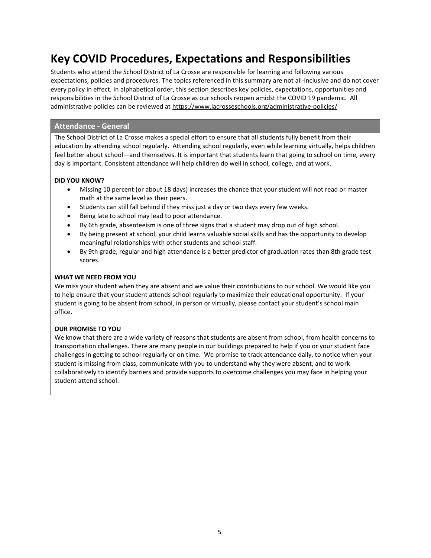# **Key COVID Procedures, Expectations and Responsibilities**

Students who attend the School District of La Crosse are responsible for learning and following various expectations, policies and procedures. The topics referenced in this summary are not all-inclusive and do not cover every policy in effect. In alphabetical order, this section describes key policies, expectations, opportunities and responsibilities in the School District of La Crosse as our schools reopen amidst the COVID 19 pandemic. All administrative policies can be reviewed at<https://www.lacrosseschools.org/administrative-policies/>

### **Attendance - General**

The School District of La Crosse makes a special effort to ensure that all students fully benefit from their education by attending school regularly. Attending school regularly, even while learning virtually, helps children feel better about school—and themselves. It is important that students learn that going to school on time, every day is important. Consistent attendance will help children do well in school, college, and at work.

#### **DID YOU KNOW?**

- Missing 10 percent (or about 18 days) increases the chance that your student will not read or master math at the same level as their peers.
- Students can still fall behind if they miss just a day or two days every few weeks.
- Being late to school may lead to poor attendance.
- By 6th grade, absenteeism is one of three signs that a student may drop out of high school.
- By being present at school, your child learns valuable social skills and has the opportunity to develop meaningful relationships with other students and school staff.
- By 9th grade, regular and high attendance is a better predictor of graduation rates than 8th grade test scores.

#### **WHAT WE NEED FROM YOU**

We miss your student when they are absent and we value their contributions to our school. We would like you to help ensure that your student attends school regularly to maximize their educational opportunity. If your student is going to be absent from school, in person or virtually, please contact your student's school main office.

#### **OUR PROMISE TO YOU**

We know that there are a wide variety of reasons that students are absent from school, from health concerns to transportation challenges. There are many people in our buildings prepared to help if you or your student face challenges in getting to school regularly or on time. We promise to track attendance daily, to notice when your student is missing from class, communicate with you to understand why they were absent, and to work collaboratively to identify barriers and provide supports to overcome challenges you may face in helping your student attend school.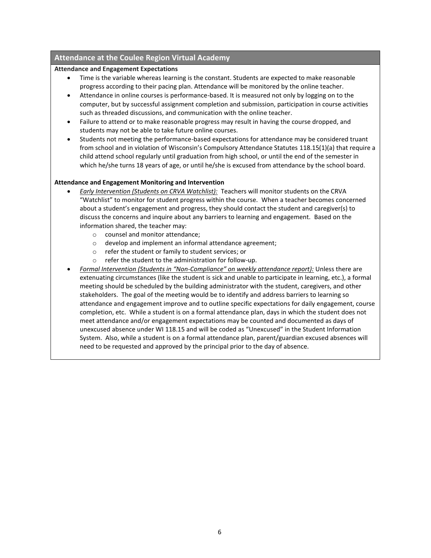### **Attendance at the Coulee Region Virtual Academy**

#### **Attendance and Engagement Expectations**

- Time is the variable whereas learning is the constant. Students are expected to make reasonable progress according to their pacing plan. Attendance will be monitored by the online teacher.
- Attendance in online courses is performance-based. It is measured not only by logging on to the computer, but by successful assignment completion and submission, participation in course activities such as threaded discussions, and communication with the online teacher.
- Failure to attend or to make reasonable progress may result in having the course dropped, and students may not be able to take future online courses.
- Students not meeting the performance-based expectations for attendance may be considered truant from school and in violation of Wisconsin's Compulsory Attendance Statutes 118.15(1)(a) that require a child attend school regularly until graduation from high school, or until the end of the semester in which he/she turns 18 years of age, or until he/she is excused from attendance by the school board.

#### **Attendance and Engagement Monitoring and Intervention**

- *Early Intervention (Students on CRVA Watchlist):* Teachers will monitor students on the CRVA "Watchlist" to monitor for student progress within the course. When a teacher becomes concerned about a student's engagement and progress, they should contact the student and caregiver(s) to discuss the concerns and inquire about any barriers to learning and engagement. Based on the information shared, the teacher may:
	- o counsel and monitor attendance;
	- o develop and implement an informal attendance agreement;
	- o refer the student or family to student services; or
	- o refer the student to the administration for follow-up.
- *Formal Intervention (Students in "Non-Compliance" on weekly attendance report):* Unless there are extenuating circumstances (like the student is sick and unable to participate in learning, etc.), a formal meeting should be scheduled by the building administrator with the student, caregivers, and other stakeholders. The goal of the meeting would be to identify and address barriers to learning so attendance and engagement improve and to outline specific expectations for daily engagement, course completion, etc. While a student is on a formal attendance plan, days in which the student does not meet attendance and/or engagement expectations may be counted and documented as days of unexcused absence under WI 118.15 and will be coded as "Unexcused" in the Student Information System. Also, while a student is on a formal attendance plan, parent/guardian excused absences will need to be requested and approved by the principal prior to the day of absence.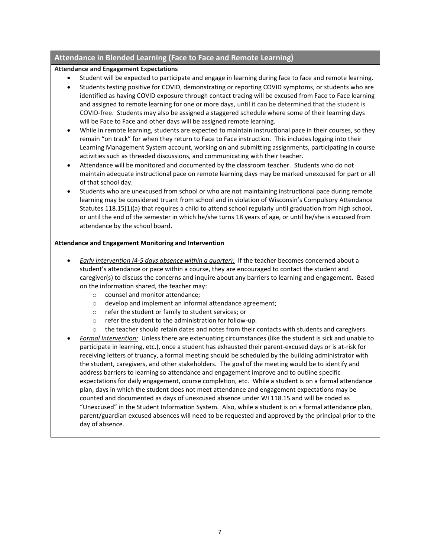### **Attendance in Blended Learning (Face to Face and Remote Learning)**

### **Attendance and Engagement Expectations**

- Student will be expected to participate and engage in learning during face to face and remote learning.
- Students testing positive for COVID, demonstrating or reporting COVID symptoms, or students who are identified as having COVID exposure through contact tracing will be excused from Face to Face learning and assigned to remote learning for one or more days, until it can be determined that the student is COVID-free. Students may also be assigned a staggered schedule where some of their learning days will be Face to Face and other days will be assigned remote learning.
- While in remote learning, students are expected to maintain instructional pace in their courses, so they remain "on track" for when they return to Face to Face instruction. This includes logging into their Learning Management System account, working on and submitting assignments, participating in course activities such as threaded discussions, and communicating with their teacher.
- Attendance will be monitored and documented by the classroom teacher. Students who do not maintain adequate instructional pace on remote learning days may be marked unexcused for part or all of that school day.
- Students who are unexcused from school or who are not maintaining instructional pace during remote learning may be considered truant from school and in violation of Wisconsin's Compulsory Attendance Statutes 118.15(1)(a) that requires a child to attend school regularly until graduation from high school, or until the end of the semester in which he/she turns 18 years of age, or until he/she is excused from attendance by the school board.

#### **Attendance and Engagement Monitoring and Intervention**

- *Early Intervention (4-5 days absence within a quarter):* If the teacher becomes concerned about a student's attendance or pace within a course, they are encouraged to contact the student and caregiver(s) to discuss the concerns and inquire about any barriers to learning and engagement. Based on the information shared, the teacher may:
	- o counsel and monitor attendance;
	- o develop and implement an informal attendance agreement;
	- o refer the student or family to student services; or
	- o refer the student to the administration for follow-up.
	- $\circ$  the teacher should retain dates and notes from their contacts with students and caregivers.
- *Formal Intervention:* Unless there are extenuating circumstances (like the student is sick and unable to participate in learning, etc.), once a student has exhausted their parent-excused days or is at-risk for receiving letters of truancy, a formal meeting should be scheduled by the building administrator with the student, caregivers, and other stakeholders. The goal of the meeting would be to identify and address barriers to learning so attendance and engagement improve and to outline specific expectations for daily engagement, course completion, etc. While a student is on a formal attendance plan, days in which the student does not meet attendance and engagement expectations may be counted and documented as days of unexcused absence under WI 118.15 and will be coded as "Unexcused" in the Student Information System. Also, while a student is on a formal attendance plan, parent/guardian excused absences will need to be requested and approved by the principal prior to the day of absence.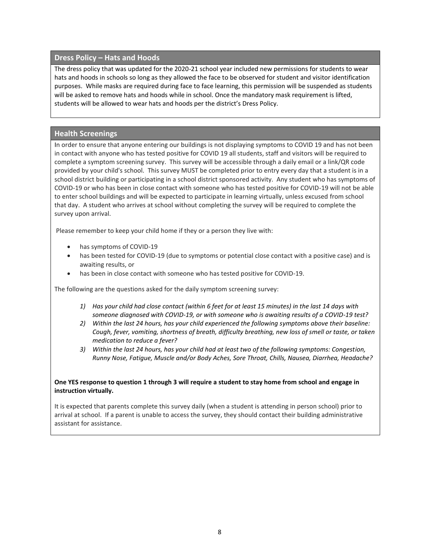### **Dress Policy – Hats and Hoods**

The dress policy that was updated for the 2020-21 school year included new permissions for students to wear hats and hoods in schools so long as they allowed the face to be observed for student and visitor identification purposes. While masks are required during face to face learning, this permission will be suspended as students will be asked to remove hats and hoods while in school. Once the mandatory mask requirement is lifted, students will be allowed to wear hats and hoods per the district's Dress Policy.

#### **Health Screenings**

In order to ensure that anyone entering our buildings is not displaying symptoms to COVID 19 and has not been in contact with anyone who has tested positive for COVID 19 all students, staff and visitors will be required to complete a symptom screening survey. This survey will be accessible through a daily email or a link/QR code provided by your child's school. This survey MUST be completed prior to entry every day that a student is in a school district building or participating in a school district sponsored activity. Any student who has symptoms of COVID-19 or who has been in close contact with someone who has tested positive for COVID-19 will not be able to enter school buildings and will be expected to participate in learning virtually, unless excused from school that day. A student who arrives at school without completing the survey will be required to complete the survey upon arrival.

Please remember to keep your child home if they or a person they live with:

- has symptoms of COVID-19
- has been tested for COVID-19 (due to symptoms or potential close contact with a positive case) and is awaiting results, or
- has been in close contact with someone who has tested positive for COVID-19.

The following are the questions asked for the daily symptom screening survey:

- *1) Has your child had close contact (within 6 feet for at least 15 minutes) in the last 14 days with someone diagnosed with COVID-19, or with someone who is awaiting results of a COVID-19 test?*
- *2) Within the last 24 hours, has your child experienced the following symptoms above their baseline: Cough, fever, vomiting, shortness of breath, difficulty breathing, new loss of smell or taste, or taken medication to reduce a fever?*
- *3) Within the last 24 hours, has your child had at least two of the following symptoms: Congestion, Runny Nose, Fatigue, Muscle and/or Body Aches, Sore Throat, Chills, Nausea, Diarrhea, Headache?*

#### **One YES response to question 1 through 3 will require a student to stay home from school and engage in instruction virtually.**

It is expected that parents complete this survey daily (when a student is attending in person school) prior to arrival at school. If a parent is unable to access the survey, they should contact their building administrative assistant for assistance.